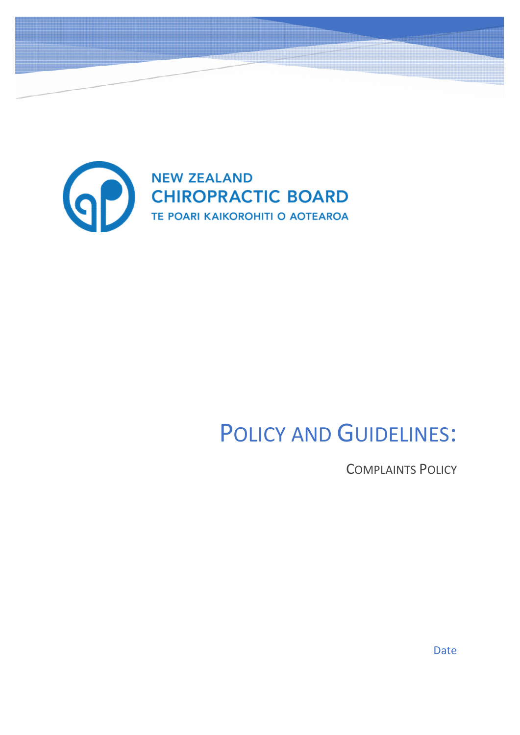

# POLICY AND GUIDELINES:

COMPLAINTS POLICY

Date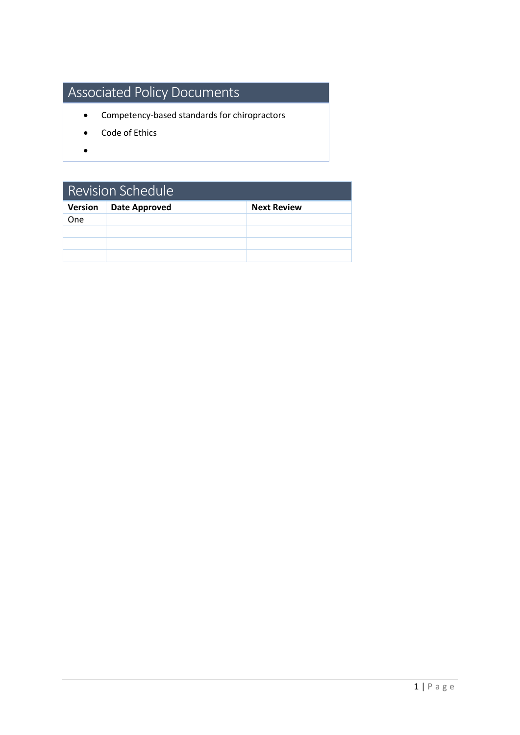## Associated Policy Documents

- Competency-based standards for chiropractors
- Code of Ethics
- $\bullet$

| <b>Revision Schedule</b> |                      |                    |
|--------------------------|----------------------|--------------------|
| Version                  | <b>Date Approved</b> | <b>Next Review</b> |
| <b>One</b>               |                      |                    |
|                          |                      |                    |
|                          |                      |                    |
|                          |                      |                    |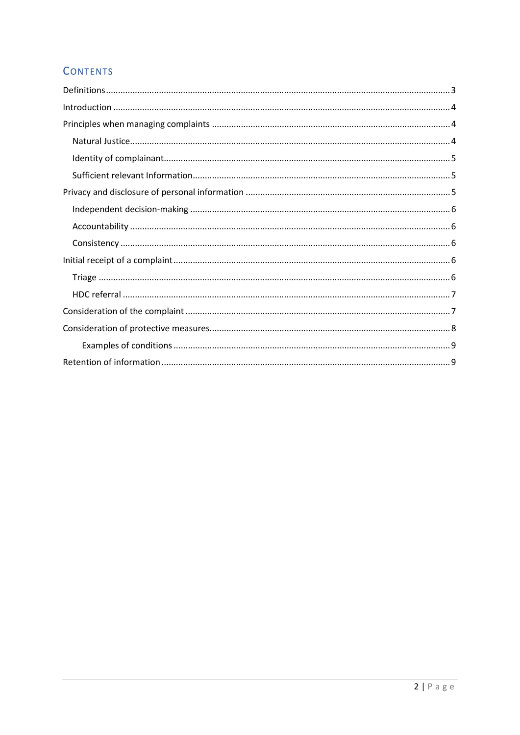### **CONTENTS**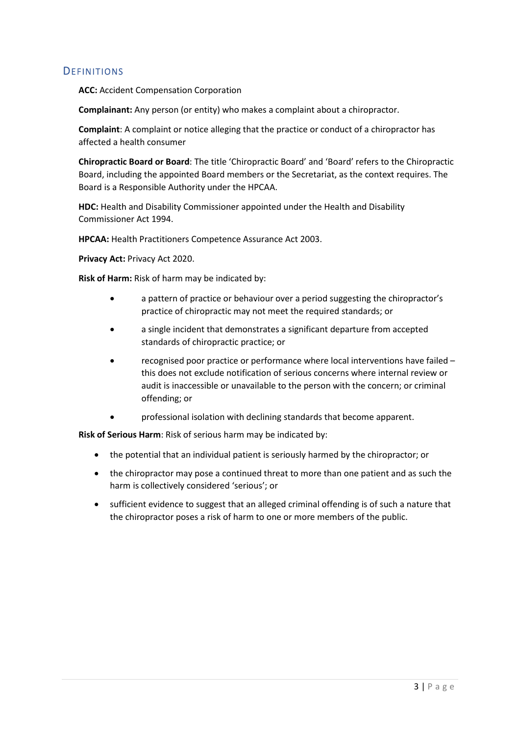#### <span id="page-3-0"></span>**DEFINITIONS**

**ACC:** Accident Compensation Corporation

**Complainant:** Any person (or entity) who makes a complaint about a chiropractor.

**Complaint**: A complaint or notice alleging that the practice or conduct of a chiropractor has affected a health consumer

**Chiropractic Board or Board**: The title 'Chiropractic Board' and 'Board' refers to the Chiropractic Board, including the appointed Board members or the Secretariat, as the context requires. The Board is a Responsible Authority under the HPCAA.

**HDC:** Health and Disability Commissioner appointed under the Health and Disability Commissioner Act 1994.

**HPCAA:** Health Practitioners Competence Assurance Act 2003.

**Privacy Act:** Privacy Act 2020.

**Risk of Harm:** Risk of harm may be indicated by:

- a pattern of practice or behaviour over a period suggesting the chiropractor's practice of chiropractic may not meet the required standards; or
- a single incident that demonstrates a significant departure from accepted standards of chiropractic practice; or
- recognised poor practice or performance where local interventions have failed this does not exclude notification of serious concerns where internal review or audit is inaccessible or unavailable to the person with the concern; or criminal offending; or
- professional isolation with declining standards that become apparent.

**Risk of Serious Harm**: Risk of serious harm may be indicated by:

- the potential that an individual patient is seriously harmed by the chiropractor; or
- the chiropractor may pose a continued threat to more than one patient and as such the harm is collectively considered 'serious'; or
- sufficient evidence to suggest that an alleged criminal offending is of such a nature that the chiropractor poses a risk of harm to one or more members of the public.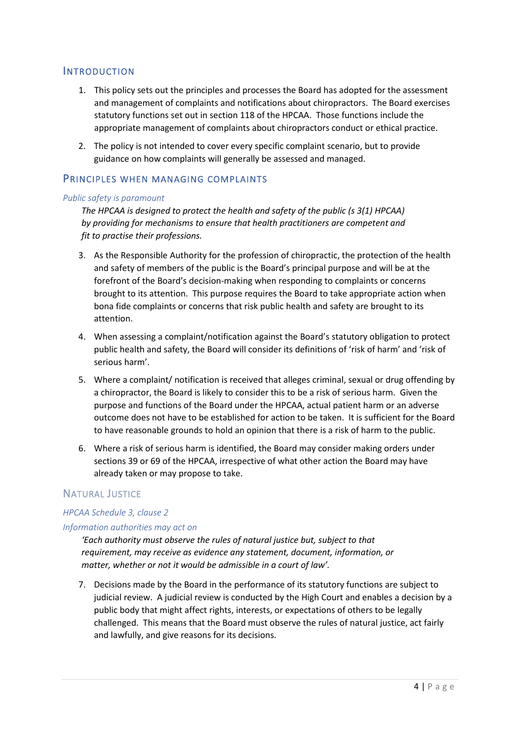#### <span id="page-4-0"></span>**INTRODUCTION**

- 1. This policy sets out the principles and processes the Board has adopted for the assessment and management of complaints and notifications about chiropractors. The Board exercises statutory functions set out in section 118 of the HPCAA. Those functions include the appropriate management of complaints about chiropractors conduct or ethical practice.
- 2. The policy is not intended to cover every specific complaint scenario, but to provide guidance on how complaints will generally be assessed and managed.

#### <span id="page-4-1"></span>PRINCIPLES WHEN MANAGING COMPLAINTS

#### *Public safety is paramount*

*The HPCAA is designed to protect the health and safety of the public (s 3(1) HPCAA) by providing for mechanisms to ensure that health practitioners are competent and fit to practise their professions.* 

- 3. As the Responsible Authority for the profession of chiropractic, the protection of the health and safety of members of the public is the Board's principal purpose and will be at the forefront of the Board's decision-making when responding to complaints or concerns brought to its attention. This purpose requires the Board to take appropriate action when bona fide complaints or concerns that risk public health and safety are brought to its attention.
- 4. When assessing a complaint/notification against the Board's statutory obligation to protect public health and safety, the Board will consider its definitions of 'risk of harm' and 'risk of serious harm'.
- 5. Where a complaint/ notification is received that alleges criminal, sexual or drug offending by a chiropractor, the Board is likely to consider this to be a risk of serious harm. Given the purpose and functions of the Board under the HPCAA, actual patient harm or an adverse outcome does not have to be established for action to be taken. It is sufficient for the Board to have reasonable grounds to hold an opinion that there is a risk of harm to the public.
- 6. Where a risk of serious harm is identified, the Board may consider making orders under sections 39 or 69 of the HPCAA, irrespective of what other action the Board may have already taken or may propose to take.

#### <span id="page-4-2"></span>NATURAL JUSTICE

#### *HPCAA Schedule 3, clause 2*

#### *Information authorities may act on*

*'Each authority must observe the rules of natural justice but, subject to that requirement, may receive as evidence any statement, document, information, or matter, whether or not it would be admissible in a court of law'.* 

7. Decisions made by the Board in the performance of its statutory functions are subject to judicial review. A judicial review is conducted by the High Court and enables a decision by a public body that might affect rights, interests, or expectations of others to be legally challenged. This means that the Board must observe the rules of natural justice, act fairly and lawfully, and give reasons for its decisions.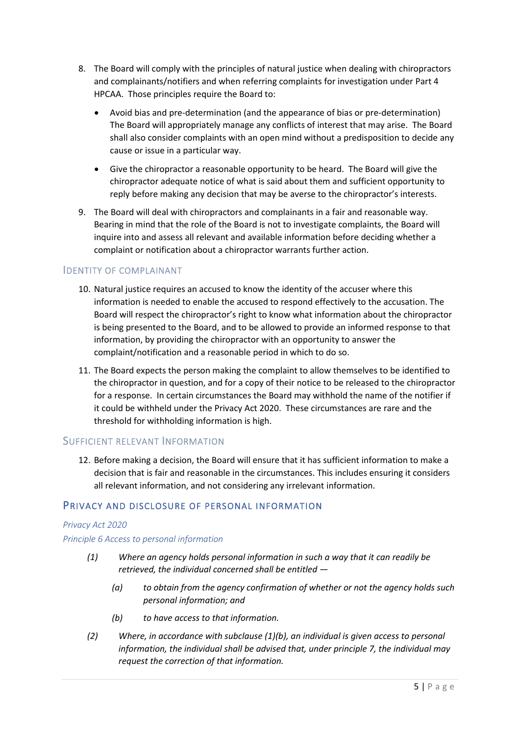- 8. The Board will comply with the principles of natural justice when dealing with chiropractors and complainants/notifiers and when referring complaints for investigation under Part 4 HPCAA. Those principles require the Board to:
	- Avoid bias and pre-determination (and the appearance of bias or pre-determination) The Board will appropriately manage any conflicts of interest that may arise. The Board shall also consider complaints with an open mind without a predisposition to decide any cause or issue in a particular way.
	- Give the chiropractor a reasonable opportunity to be heard. The Board will give the chiropractor adequate notice of what is said about them and sufficient opportunity to reply before making any decision that may be averse to the chiropractor's interests.
- 9. The Board will deal with chiropractors and complainants in a fair and reasonable way. Bearing in mind that the role of the Board is not to investigate complaints, the Board will inquire into and assess all relevant and available information before deciding whether a complaint or notification about a chiropractor warrants further action.

#### <span id="page-5-0"></span>IDENTITY OF COMPLAINANT

- 10. Natural justice requires an accused to know the identity of the accuser where this information is needed to enable the accused to respond effectively to the accusation. The Board will respect the chiropractor's right to know what information about the chiropractor is being presented to the Board, and to be allowed to provide an informed response to that information, by providing the chiropractor with an opportunity to answer the complaint/notification and a reasonable period in which to do so.
- 11. The Board expects the person making the complaint to allow themselves to be identified to the chiropractor in question, and for a copy of their notice to be released to the chiropractor for a response. In certain circumstances the Board may withhold the name of the notifier if it could be withheld under the Privacy Act 2020. These circumstances are rare and the threshold for withholding information is high.

#### <span id="page-5-1"></span>SUFFICIENT RELEVANT INFORMATION

12. Before making a decision, the Board will ensure that it has sufficient information to make a decision that is fair and reasonable in the circumstances. This includes ensuring it considers all relevant information, and not considering any irrelevant information.

#### <span id="page-5-2"></span>PRIVACY AND DISCLOSURE OF PERSONAL INFORMATION

#### *Privacy Act 2020*

#### *Principle 6 Access to personal information*

- *(1) Where an agency holds personal information in such a way that it can readily be retrieved, the individual concerned shall be entitled —* 
	- *(a) to obtain from the agency confirmation of whether or not the agency holds such personal information; and*
	- *(b) to have access to that information.*
- *(2) Where, in accordance with subclause (1)(b), an individual is given access to personal information, the individual shall be advised that, under principle 7, the individual may request the correction of that information.*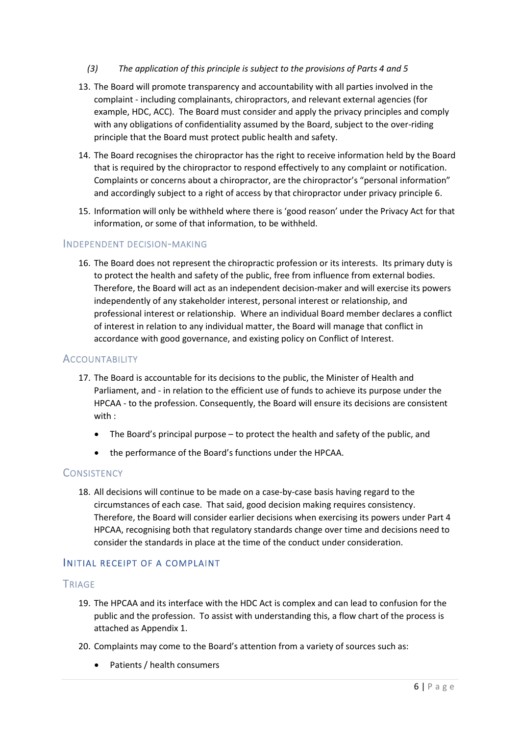- *(3) The application of this principle is subject to the provisions of Parts 4 and 5*
- 13. The Board will promote transparency and accountability with all parties involved in the complaint - including complainants, chiropractors, and relevant external agencies (for example, HDC, ACC). The Board must consider and apply the privacy principles and comply with any obligations of confidentiality assumed by the Board, subject to the over-riding principle that the Board must protect public health and safety.
- 14. The Board recognises the chiropractor has the right to receive information held by the Board that is required by the chiropractor to respond effectively to any complaint or notification. Complaints or concerns about a chiropractor, are the chiropractor's "personal information" and accordingly subject to a right of access by that chiropractor under privacy principle 6.
- 15. Information will only be withheld where there is 'good reason' under the Privacy Act for that information, or some of that information, to be withheld.

#### <span id="page-6-0"></span>INDEPENDENT DECISION-MAKING

16. The Board does not represent the chiropractic profession or its interests. Its primary duty is to protect the health and safety of the public, free from influence from external bodies. Therefore, the Board will act as an independent decision-maker and will exercise its powers independently of any stakeholder interest, personal interest or relationship, and professional interest or relationship. Where an individual Board member declares a conflict of interest in relation to any individual matter, the Board will manage that conflict in accordance with good governance, and existing policy on Conflict of Interest.

#### <span id="page-6-1"></span>**ACCOUNTABILITY**

- 17. The Board is accountable for its decisions to the public, the Minister of Health and Parliament, and - in relation to the efficient use of funds to achieve its purpose under the HPCAA - to the profession. Consequently, the Board will ensure its decisions are consistent with :
	- The Board's principal purpose to protect the health and safety of the public, and
	- the performance of the Board's functions under the HPCAA.

#### <span id="page-6-2"></span>**CONSISTENCY**

18. All decisions will continue to be made on a case-by-case basis having regard to the circumstances of each case. That said, good decision making requires consistency. Therefore, the Board will consider earlier decisions when exercising its powers under Part 4 HPCAA, recognising both that regulatory standards change over time and decisions need to consider the standards in place at the time of the conduct under consideration.

#### <span id="page-6-3"></span>INITIAL RECEIPT OF A COMPLAINT

#### <span id="page-6-4"></span>**TRIAGE**

- 19. The HPCAA and its interface with the HDC Act is complex and can lead to confusion for the public and the profession. To assist with understanding this, a flow chart of the process is attached as Appendix 1.
- 20. Complaints may come to the Board's attention from a variety of sources such as:
	- Patients / health consumers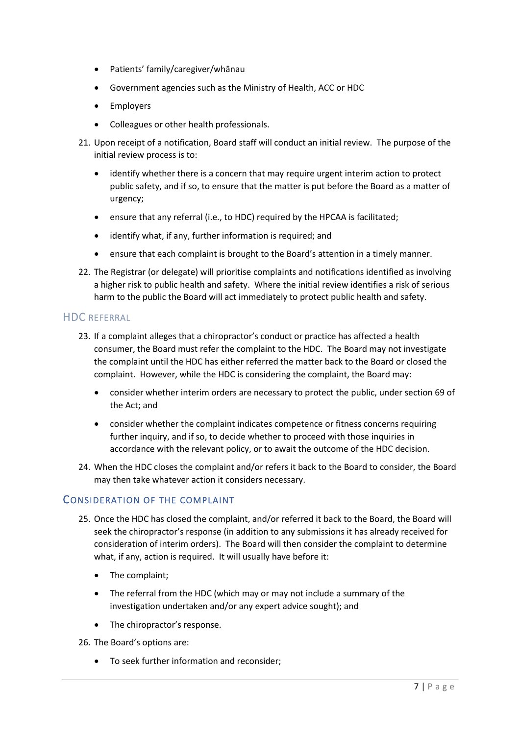- Patients' family/caregiver/whānau
- Government agencies such as the Ministry of Health, ACC or HDC
- Employers
- Colleagues or other health professionals.
- 21. Upon receipt of a notification, Board staff will conduct an initial review. The purpose of the initial review process is to:
	- identify whether there is a concern that may require urgent interim action to protect public safety, and if so, to ensure that the matter is put before the Board as a matter of urgency;
	- ensure that any referral (i.e., to HDC) required by the HPCAA is facilitated;
	- identify what, if any, further information is required; and
	- ensure that each complaint is brought to the Board's attention in a timely manner.
- 22. The Registrar (or delegate) will prioritise complaints and notifications identified as involving a higher risk to public health and safety. Where the initial review identifies a risk of serious harm to the public the Board will act immediately to protect public health and safety.

#### <span id="page-7-0"></span>HDC REFERRAL

- 23. If a complaint alleges that a chiropractor's conduct or practice has affected a health consumer, the Board must refer the complaint to the HDC. The Board may not investigate the complaint until the HDC has either referred the matter back to the Board or closed the complaint. However, while the HDC is considering the complaint, the Board may:
	- consider whether interim orders are necessary to protect the public, under section 69 of the Act; and
	- consider whether the complaint indicates competence or fitness concerns requiring further inquiry, and if so, to decide whether to proceed with those inquiries in accordance with the relevant policy, or to await the outcome of the HDC decision.
- 24. When the HDC closes the complaint and/or refers it back to the Board to consider, the Board may then take whatever action it considers necessary.

#### <span id="page-7-1"></span>CONSIDERATION OF THE COMPLAINT

- 25. Once the HDC has closed the complaint, and/or referred it back to the Board, the Board will seek the chiropractor's response (in addition to any submissions it has already received for consideration of interim orders). The Board will then consider the complaint to determine what, if any, action is required. It will usually have before it:
	- The complaint;
	- The referral from the HDC (which may or may not include a summary of the investigation undertaken and/or any expert advice sought); and
	- The chiropractor's response.

26. The Board's options are:

• To seek further information and reconsider;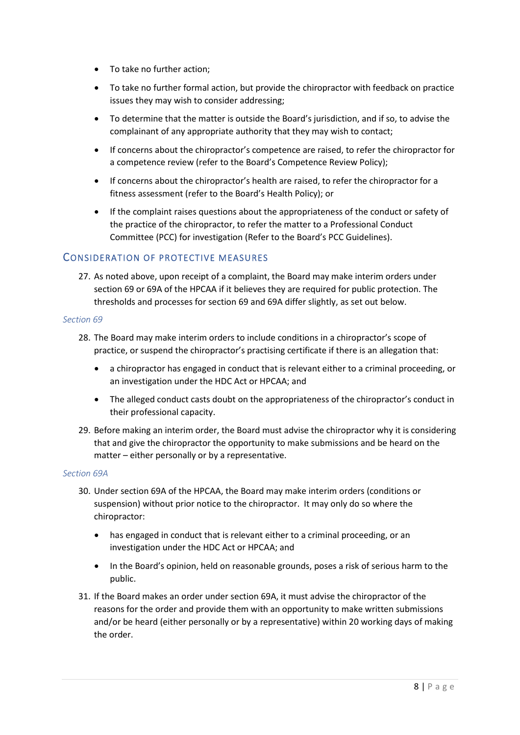- To take no further action;
- To take no further formal action, but provide the chiropractor with feedback on practice issues they may wish to consider addressing;
- To determine that the matter is outside the Board's jurisdiction, and if so, to advise the complainant of any appropriate authority that they may wish to contact;
- If concerns about the chiropractor's competence are raised, to refer the chiropractor for a competence review (refer to the Board's Competence Review Policy);
- If concerns about the chiropractor's health are raised, to refer the chiropractor for a fitness assessment (refer to the Board's Health Policy); or
- If the complaint raises questions about the appropriateness of the conduct or safety of the practice of the chiropractor, to refer the matter to a Professional Conduct Committee (PCC) for investigation (Refer to the Board's PCC Guidelines).

#### <span id="page-8-0"></span>CONSIDERATION OF PROTECTIVE MEASURES

27. As noted above, upon receipt of a complaint, the Board may make interim orders under section 69 or 69A of the HPCAA if it believes they are required for public protection. The thresholds and processes for section 69 and 69A differ slightly, as set out below.

#### *Section 69*

- 28. The Board may make interim orders to include conditions in a chiropractor's scope of practice, or suspend the chiropractor's practising certificate if there is an allegation that:
	- a chiropractor has engaged in conduct that is relevant either to a criminal proceeding, or an investigation under the HDC Act or HPCAA; and
	- The alleged conduct casts doubt on the appropriateness of the chiropractor's conduct in their professional capacity.
- 29. Before making an interim order, the Board must advise the chiropractor why it is considering that and give the chiropractor the opportunity to make submissions and be heard on the matter – either personally or by a representative.

#### *Section 69A*

- 30. Under section 69A of the HPCAA, the Board may make interim orders (conditions or suspension) without prior notice to the chiropractor. It may only do so where the chiropractor:
	- has engaged in conduct that is relevant either to a criminal proceeding, or an investigation under the HDC Act or HPCAA; and
	- In the Board's opinion, held on reasonable grounds, poses a risk of serious harm to the public.
- 31. If the Board makes an order under section 69A, it must advise the chiropractor of the reasons for the order and provide them with an opportunity to make written submissions and/or be heard (either personally or by a representative) within 20 working days of making the order.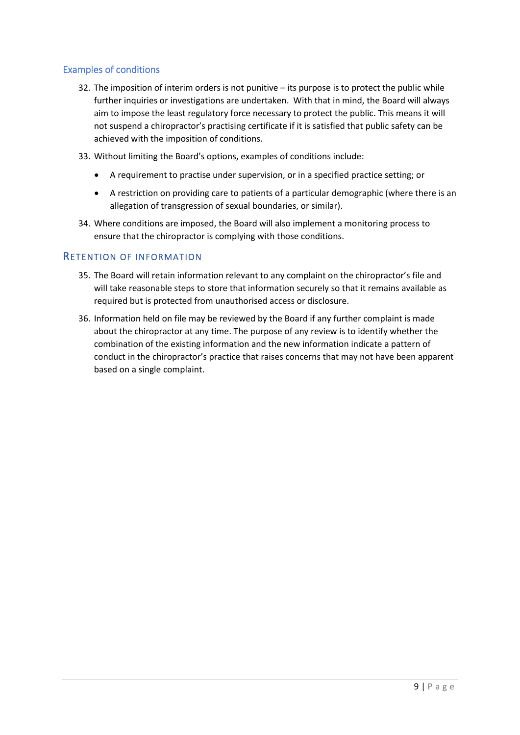#### <span id="page-9-0"></span>Examples of conditions

- 32. The imposition of interim orders is not punitive its purpose is to protect the public while further inquiries or investigations are undertaken. With that in mind, the Board will always aim to impose the least regulatory force necessary to protect the public. This means it will not suspend a chiropractor's practising certificate if it is satisfied that public safety can be achieved with the imposition of conditions.
- 33. Without limiting the Board's options, examples of conditions include:
	- A requirement to practise under supervision, or in a specified practice setting; or
	- A restriction on providing care to patients of a particular demographic (where there is an allegation of transgression of sexual boundaries, or similar).
- 34. Where conditions are imposed, the Board will also implement a monitoring process to ensure that the chiropractor is complying with those conditions.

#### <span id="page-9-1"></span>RETENTION OF INFORMATION

- 35. The Board will retain information relevant to any complaint on the chiropractor's file and will take reasonable steps to store that information securely so that it remains available as required but is protected from unauthorised access or disclosure.
- 36. Information held on file may be reviewed by the Board if any further complaint is made about the chiropractor at any time. The purpose of any review is to identify whether the combination of the existing information and the new information indicate a pattern of conduct in the chiropractor's practice that raises concerns that may not have been apparent based on a single complaint.